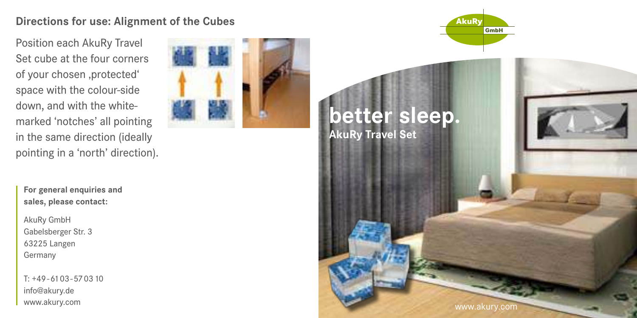## **Directions for use: Alignment of the Cubes**

Position each AkuRy Travel Set cube at the four corners of your chosen ,protected' space with the colour-side down, and with the whitemarked 'notches' all pointing in the same direction (ideally pointing in a 'north' direction).

**For general enquiries and sales, please contact:**

AkuRy GmbH Gabelsberger Str. 3 63225 Langen Germany

T: +49 - 61 03 - 57 03 10 info@akury.de www.akury.com





www.akury.cor